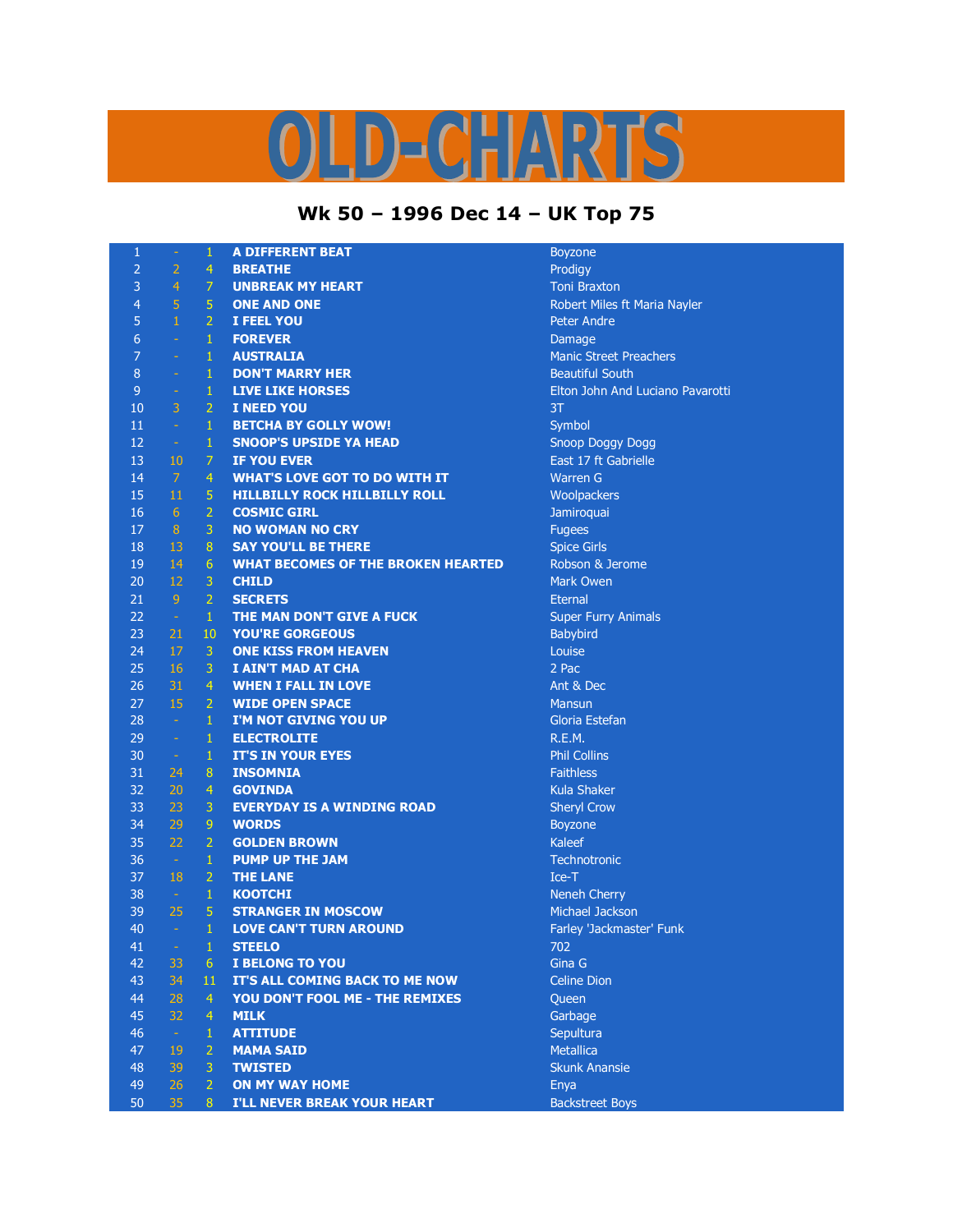## LD-CHARTS

## **Wk 50 – 1996 Dec 14 – UK Top 75**

| $\mathbf{1}$     | $\omega$             | $\mathbf{1}$     | <b>A DIFFERENT BEAT</b>                   | <b>Boyzone</b>                   |
|------------------|----------------------|------------------|-------------------------------------------|----------------------------------|
| $\overline{2}$   | $\overline{2}$       | $\overline{4}$   | <b>BREATHE</b>                            | Prodigy                          |
| 3                | $\overline{4}$       | $\overline{7}$   | <b>UNBREAK MY HEART</b>                   | <b>Toni Braxton</b>              |
| $\overline{4}$   | $\overline{5}$       | $\overline{5}$   | <b>ONE AND ONE</b>                        | Robert Miles ft Maria Nayler     |
| 5                | $\mathbf 1$          | $\overline{2}$   | I FEEL YOU                                | <b>Peter Andre</b>               |
| $6\phantom{1}$   | $\omega$             | $\mathbf{1}$     | <b>FOREVER</b>                            | Damage                           |
| $\overline{7}$   | $\omega$             | $\mathbf{1}$     | <b>AUSTRALIA</b>                          | <b>Manic Street Preachers</b>    |
| $\boldsymbol{8}$ | $\omega$             | $\mathbf{1}$     | <b>DON'T MARRY HER</b>                    | <b>Beautiful South</b>           |
| $\mathsf 9$      | $\equiv$             | $\,1\,$          | <b>LIVE LIKE HORSES</b>                   | Elton John And Luciano Pavarotti |
| 10               | 3                    | $\overline{2}$   | <b>I NEED YOU</b>                         | 3T                               |
| 11               | $\omega$             | $\mathbf{1}$     | <b>BETCHA BY GOLLY WOW!</b>               | Symbol                           |
| 12               | $\frac{1}{\sqrt{2}}$ | $\mathbf{1}$     | <b>SNOOP'S UPSIDE YA HEAD</b>             | Snoop Doggy Dogg                 |
| 13               | 10                   | $\overline{7}$   | <b>IF YOU EVER</b>                        | East 17 ft Gabrielle             |
| 14               | $\mathcal{L}$        | $\overline{4}$   | <b>WHAT'S LOVE GOT TO DO WITH IT</b>      | <b>Warren G</b>                  |
| 15               | 11                   | 5                | <b>HILLBILLY ROCK HILLBILLY ROLL</b>      | Woolpackers                      |
| 16               | 6 <sup>1</sup>       | $\overline{2}$   | <b>COSMIC GIRL</b>                        | Jamiroquai                       |
| 17               | $\sqrt{8}$           | 3                | <b>NO WOMAN NO CRY</b>                    | <b>Fugees</b>                    |
| 18               | 13                   | $\boldsymbol{8}$ | <b>SAY YOU'LL BE THERE</b>                | <b>Spice Girls</b>               |
| 19               | 14                   | 6                | <b>WHAT BECOMES OF THE BROKEN HEARTED</b> | Robson & Jerome                  |
| 20               | 12                   | $\mathbf{3}$     | <b>CHILD</b>                              | Mark Owen                        |
| 21               | 9                    | $\overline{2}$   | <b>SECRETS</b>                            | <b>Eternal</b>                   |
| 22               | $\omega$             | $\mathbf{1}$     | THE MAN DON'T GIVE A FUCK                 | <b>Super Furry Animals</b>       |
| 23               | 21                   | 10               | <b>YOU'RE GORGEOUS</b>                    | Babybird                         |
| 24               | 17                   | $\overline{3}$   | <b>ONE KISS FROM HEAVEN</b>               | Louise                           |
| 25               | 16                   | 3                | I AIN'T MAD AT CHA                        | 2 Pac                            |
| 26               | 31                   | $\overline{4}$   | <b>WHEN I FALL IN LOVE</b>                | Ant & Dec                        |
| 27               | 15                   | $\overline{2}$   | <b>WIDE OPEN SPACE</b>                    | <b>Mansun</b>                    |
| 28               | $\omega$             | $\mathbf{1}$     | I'M NOT GIVING YOU UP                     | Gloria Estefan                   |
| 29               | $\omega$             | $\mathbf{1}$     | <b>ELECTROLITE</b>                        | R.E.M.                           |
| 30               | $\pm$                | $\,1\,$          | <b>IT'S IN YOUR EYES</b>                  | <b>Phil Collins</b>              |
| 31               | 24                   | $\boldsymbol{8}$ | <b>INSOMNIA</b>                           | <b>Faithless</b>                 |
| 32               | 20                   | $\overline{4}$   | <b>GOVINDA</b>                            | <b>Kula Shaker</b>               |
| 33               | 23                   | 3                | <b>EVERYDAY IS A WINDING ROAD</b>         | <b>Sheryl Crow</b>               |
| 34               | 29                   | $\overline{9}$   | <b>WORDS</b>                              | <b>Boyzone</b>                   |
| 35               | 22                   | $\overline{2}$   | <b>GOLDEN BROWN</b>                       | Kaleef                           |
| 36               | $\sim$               | $\mathbf{1}$     | <b>PUMP UP THE JAM</b>                    | Technotronic                     |
| 37               | 18                   | $\overline{2}$   | <b>THE LANE</b>                           | Ice-T                            |
| 38               | $\omega$             | $\mathbf 1$      | <b>KOOTCHI</b>                            | Neneh Cherry                     |
| 39               | 25                   | 5                | <b>STRANGER IN MOSCOW</b>                 | Michael Jackson                  |
| 40               | $\omega$             | $\mathbf{1}$     | <b>LOVE CAN'T TURN AROUND</b>             | Farley 'Jackmaster' Funk         |
| 41               | $\mathbb{H}$         | $\mathbf{1}$     | <b>STEELO</b>                             | 702                              |
| 42               | 33                   | 6                | I BELONG TO YOU                           | Gina G                           |
| 43               | 34                   | 11               | IT'S ALL COMING BACK TO ME NOW            | <b>Celine Dion</b>               |
| 44               | 28                   | $\overline{4}$   | YOU DON'T FOOL ME - THE REMIXES           | Queen                            |
| 45               | 32                   | $\overline{4}$   | <b>MILK</b>                               | Garbage                          |
| 46               | $\omega$             | $\mathbf{1}$     | <b>ATTITUDE</b>                           | Sepultura                        |
| 47               | 19                   | $\overline{2}$   | <b>MAMA SAID</b>                          | <b>Metallica</b>                 |
| 48               | 39                   | 3                | <b>TWISTED</b>                            | <b>Skunk Anansie</b>             |
| 49               | 26                   | $\overline{2}$   | <b>ON MY WAY HOME</b>                     | Enya                             |
| 50               | 35                   | 8                | <b>I'LL NEVER BREAK YOUR HEART</b>        | <b>Backstreet Boys</b>           |